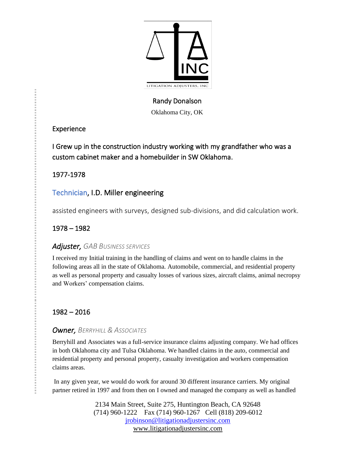

# Randy Donalson

Oklahoma City, OK

## Experience

I Grew up in the construction industry working with my grandfather who was a custom cabinet maker and a homebuilder in SW Oklahoma.

1977-1978

# Technician, I.D. Miller engineering

assisted engineers with surveys, designed sub-divisions, and did calculation work.

# 1978 – 1982

# *Adjuster, GAB BUSINESS SERVICES*

I received my Initial training in the handling of claims and went on to handle claims in the following areas all in the state of Oklahoma. Automobile, commercial, and residential property as well as personal property and casualty losses of various sizes, aircraft claims, animal necropsy and Workers' compensation claims.

# 1982 – 2016

## *Owner, BERRYHILL & ASSOCIATES*

Berryhill and Associates was a full-service insurance claims adjusting company. We had offices in both Oklahoma city and Tulsa Oklahoma. We handled claims in the auto, commercial and residential property and personal property, casualty investigation and workers compensation claims areas.

In any given year, we would do work for around 30 different insurance carriers. My original partner retired in 1997 and from then on I owned and managed the company as well as handled

> 2134 Main Street, Suite 275, Huntington Beach, CA 92648 (714) 960-1222 Fax (714) 960-1267 Cell (818) 209-6012 [jrobinson@litigationadjustersinc.com](mailto:jrobinson@litigationadjustersinc.com) www.litigationadjustersinc.com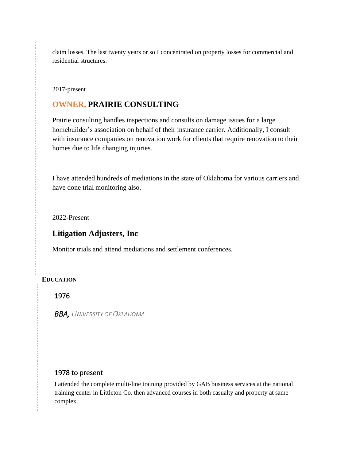claim losses. The last twenty years or so I concentrated on property losses for commercial and residential structures.

2017-present

## **OWNER, PRAIRIE CONSULTING**

Prairie consulting handles inspections and consults on damage issues for a large homebuilder's association on behalf of their insurance carrier. Additionally, I consult with insurance companies on renovation work for clients that require renovation to their homes due to life changing injuries.

I have attended hundreds of mediations in the state of Oklahoma for various carriers and have done trial monitoring also.

2022-Present

## **Litigation Adjusters, Inc**

Monitor trials and attend mediations and settlement conferences.

#### **EDUCATION**

#### 1976

**BBA, UNIVERSITY OF OKLAHOMA** 

### 1978 to present

I attended the complete multi-line training provided by GAB business services at the national training center in Littleton Co. then advanced courses in both casualty and property at same complex.